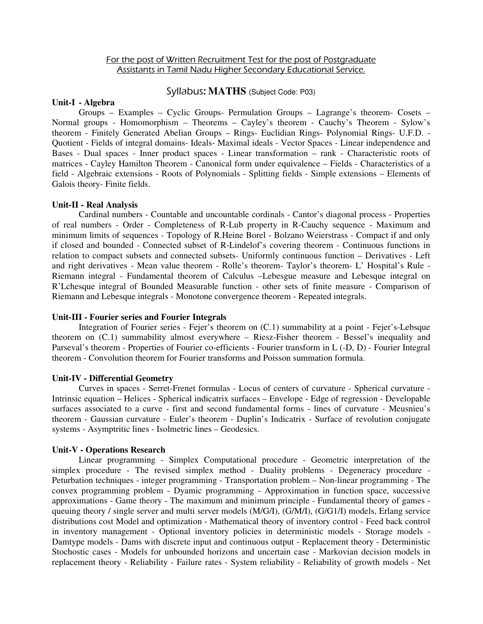# For the post of Written Recruitment Test for the post of Postgraduate Assistants in Tamil Nadu Higher Secondary Educational Service.

# Syllabus: **MATHS** (Subject Code: P03)

#### **Unit-I - Algebra**

Groups – Examples – Cyclic Groups- Permulation Groups – Lagrange's theorem- Cosets – Normal groups - Homomorphism – Theorems – Cayley's theorem - Cauchy's Theorem - Sylow's theorem - Finitely Generated Abelian Groups – Rings- Euclidian Rings- Polynomial Rings- U.F.D. - Quotient - Fields of integral domains- Ideals- Maximal ideals - Vector Spaces - Linear independence and Bases - Dual spaces - Inner product spaces - Linear transformation – rank - Characteristic roots of matrices - Cayley Hamilton Theorem - Canonical form under equivalence – Fields - Characteristics of a field - Algebraic extensions - Roots of Polynomials - Splitting fields - Simple extensions – Elements of Galois theory- Finite fields.

### **Unit-II - Real Analysis**

Cardinal numbers - Countable and uncountable cordinals - Cantor's diagonal process - Properties of real numbers - Order - Completeness of R-Lub property in R-Cauchy sequence - Maximum and minimum limits of sequences - Topology of R.Heine Borel - Bolzano Weierstrass - Compact if and only if closed and bounded - Connected subset of R-Lindelof's covering theorem - Continuous functions in relation to compact subsets and connected subsets- Uniformly continuous function – Derivatives - Left and right derivatives - Mean value theorem - Rolle's theorem- Taylor's theorem- L' Hospital's Rule - Riemann integral - Fundamental theorem of Calculus –Lebesgue measure and Lebesque integral on R'Lchesque integral of Bounded Measurable function - other sets of finite measure - Comparison of Riemann and Lebesque integrals - Monotone convergence theorem - Repeated integrals.

### **Unit-III - Fourier series and Fourier Integrals**

Integration of Fourier series - Fejer's theorem on (C.1) summability at a point - Fejer's-Lebsque theorem on (C.1) summability almost everywhere – Riesz-Fisher theorem - Bessel's inequality and Parseval's theorem - Properties of Fourier co-efficients - Fourier transform in L (-D, D) - Fourier Integral theorem - Convolution theorem for Fourier transforms and Poisson summation formula.

### **Unit-IV - Differential Geometry**

Curves in spaces - Serret-Frenet formulas - Locus of centers of curvature - Spherical curvature - Intrinsic equation – Helices - Spherical indicatrix surfaces – Envelope - Edge of regression - Developable surfaces associated to a curve - first and second fundamental forms - lines of curvature - Meusnieu's theorem - Gaussian curvature - Euler's theorem - Duplin's Indicatrix - Surface of revolution conjugate systems - Asymptritic lines - Isolmetric lines – Geodesics.

#### **Unit-V - Operations Research**

Linear programming - Simplex Computational procedure - Geometric interpretation of the simplex procedure - The revised simplex method - Duality problems - Degeneracy procedure - Peturbation techniques - integer programming - Transportation problem – Non-linear programming - The convex programming problem - Dyamic programming - Approximation in function space, successive approximations - Game theory - The maximum and minimum principle - Fundamental theory of games queuing theory / single server and multi server models (M/G/I), (G/M/I), (G/G1/I) models, Erlang service distributions cost Model and optimization - Mathematical theory of inventory control - Feed back control in inventory management - Optional inventory policies in deterministic models - Storage models - Damtype models - Dams with discrete input and continuous output - Replacement theory - Deterministic Stochostic cases - Models for unbounded horizons and uncertain case - Markovian decision models in replacement theory - Reliability - Failure rates - System reliability - Reliability of growth models - Net